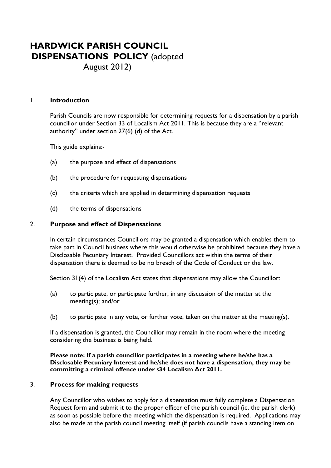# **HARDWICK PARISH COUNCIL DISPENSATIONS POLICY** (adopted

August 2012)

## 1. **Introduction**

 Parish Councils are now responsible for determining requests for a dispensation by a parish councillor under Section 33 of Localism Act 2011. This is because they are a "relevant authority" under section 27(6) (d) of the Act.

This guide explains:-

- (a) the purpose and effect of dispensations
- (b) the procedure for requesting dispensations
- (c) the criteria which are applied in determining dispensation requests
- (d) the terms of dispensations

## 2. **Purpose and effect of Dispensations**

In certain circumstances Councillors may be granted a dispensation which enables them to take part in Council business where this would otherwise be prohibited because they have a Disclosable Pecuniary Interest. Provided Councillors act within the terms of their dispensation there is deemed to be no breach of the Code of Conduct or the law.

Section 31(4) of the Localism Act states that dispensations may allow the Councillor:

- (a) to participate, or participate further, in any discussion of the matter at the meeting(s); and/or
- (b) to participate in any vote, or further vote, taken on the matter at the meeting(s).

 If a dispensation is granted, the Councillor may remain in the room where the meeting considering the business is being held.

#### **Please note: If a parish councillor participates in a meeting where he/she has a Disclosable Pecuniary Interest and he/she does not have a dispensation, they may be committing a criminal offence under s34 Localism Act 2011.**

## 3. **Process for making requests**

 Any Councillor who wishes to apply for a dispensation must fully complete a Dispensation Request form and submit it to the proper officer of the parish council (ie. the parish clerk) as soon as possible before the meeting which the dispensation is required. Applications may also be made at the parish council meeting itself (if parish councils have a standing item on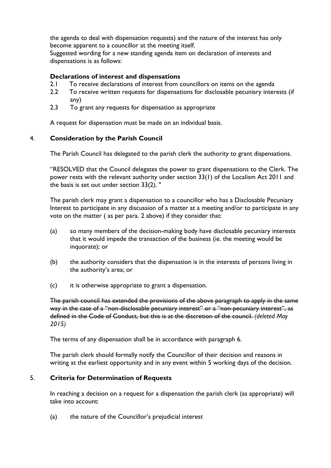the agenda to deal with dispensation requests) and the nature of the interest has only become apparent to a councillor at the meeting itself.

 Suggested wording for a new standing agenda item on declaration of interests and dispensations is as follows:

# **Declarations of interest and dispensations**

- 2.1 To receive declarations of interest from councillors on items on the agenda
- 2.2 To receive written requests for dispensations for disclosable pecuniary interests (if any)
- 2.3 To grant any requests for dispensation as appropriate

A request for dispensation must be made on an individual basis.

# 4. **Consideration by the Parish Council**

The Parish Council has delegated to the parish clerk the authority to grant dispensations.

"RESOLVED that the Council delegates the power to grant dispensations to the Clerk. The power rests with the relevant authority under section 33(1) of the Localism Act 2011 and the basis is set out under section 33(2). "

 The parish clerk may grant a dispensation to a councillor who has a Disclosable Pecuniary Interest to participate in any discussion of a matter at a meeting and/or to participate in any vote on the matter ( as per para. 2 above) if they consider that:

- (a) so many members of the decision-making body have disclosable pecuniary interests that it would impede the transaction of the business (ie. the meeting would be inquorate); or
- (b) the authority considers that the dispensation is in the interests of persons living in the authority's area; or
- (c) it is otherwise appropriate to grant a dispensation.

 The parish council has extended the provisions of the above paragraph to apply in the same way in the case of a "non-disclosable pecuniary interest" or a "non-pecuniary interest", as defined in the Code of Conduct, but this is at the discretion of the council. *(deleted May 2015)*

The terms of any dispensation shall be in accordance with paragraph 6.

 The parish clerk should formally notify the Councillor of their decision and reasons in writing at the earliest opportunity and in any event within 5 working days of the decision.

# 5. **Criteria for Determination of Requests**

 In reaching a decision on a request for a dispensation the parish clerk (as appropriate) will take into account:

(a) the nature of the Councillor's prejudicial interest